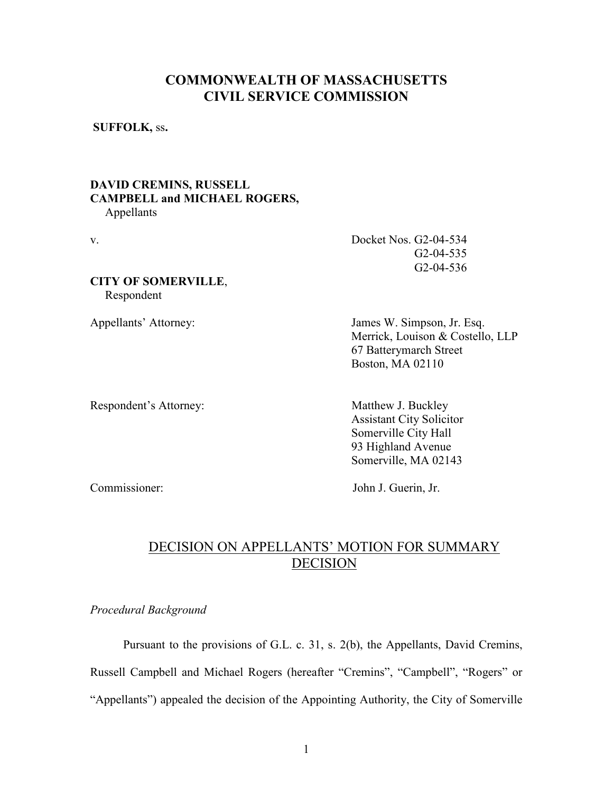## COMMONWEALTH OF MASSACHUSETTS CIVIL SERVICE COMMISSION

SUFFOLK, ss.

# DAVID CREMINS, RUSSELL CAMPBELL and MICHAEL ROGERS,

Appellants

| V.                                       | Docket Nos. G2-04-534                                                                                        |
|------------------------------------------|--------------------------------------------------------------------------------------------------------------|
|                                          | $G2-04-535$                                                                                                  |
|                                          | $G2-04-536$                                                                                                  |
| <b>CITY OF SOMERVILLE,</b><br>Respondent |                                                                                                              |
| Appellants' Attorney:                    | James W. Simpson, Jr. Esq.<br>Merrick, Louison & Costello, LLP<br>67 Batterymarch Street<br>Boston, MA 02110 |
| Respondent's Attorney:                   | Matthew J. Buckley<br><b>Assistant City Solicitor</b><br>Somerville City Hall<br>93 Highland Avenue          |

Commissioner: John J. Guerin, Jr.

Somerville, MA 02143

## DECISION ON APPELLANTS' MOTION FOR SUMMARY DECISION

Procedural Background

 Pursuant to the provisions of G.L. c. 31, s. 2(b), the Appellants, David Cremins, Russell Campbell and Michael Rogers (hereafter "Cremins", "Campbell", "Rogers" or "Appellants") appealed the decision of the Appointing Authority, the City of Somerville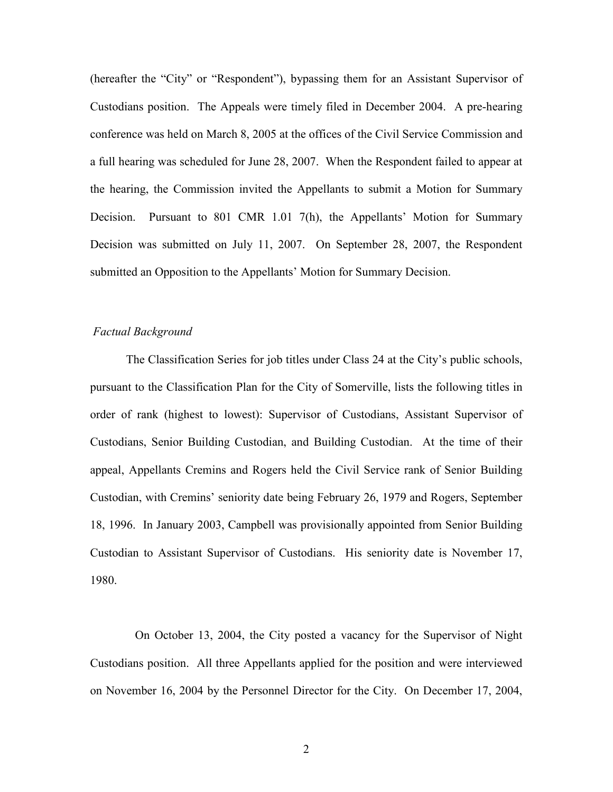(hereafter the "City" or "Respondent"), bypassing them for an Assistant Supervisor of Custodians position. The Appeals were timely filed in December 2004. A pre-hearing conference was held on March 8, 2005 at the offices of the Civil Service Commission and a full hearing was scheduled for June 28, 2007. When the Respondent failed to appear at the hearing, the Commission invited the Appellants to submit a Motion for Summary Decision. Pursuant to 801 CMR 1.01 7(h), the Appellants' Motion for Summary Decision was submitted on July 11, 2007. On September 28, 2007, the Respondent submitted an Opposition to the Appellants' Motion for Summary Decision.

### Factual Background

 The Classification Series for job titles under Class 24 at the City's public schools, pursuant to the Classification Plan for the City of Somerville, lists the following titles in order of rank (highest to lowest): Supervisor of Custodians, Assistant Supervisor of Custodians, Senior Building Custodian, and Building Custodian. At the time of their appeal, Appellants Cremins and Rogers held the Civil Service rank of Senior Building Custodian, with Cremins' seniority date being February 26, 1979 and Rogers, September 18, 1996. In January 2003, Campbell was provisionally appointed from Senior Building Custodian to Assistant Supervisor of Custodians. His seniority date is November 17, 1980.

On October 13, 2004, the City posted a vacancy for the Supervisor of Night Custodians position. All three Appellants applied for the position and were interviewed on November 16, 2004 by the Personnel Director for the City. On December 17, 2004,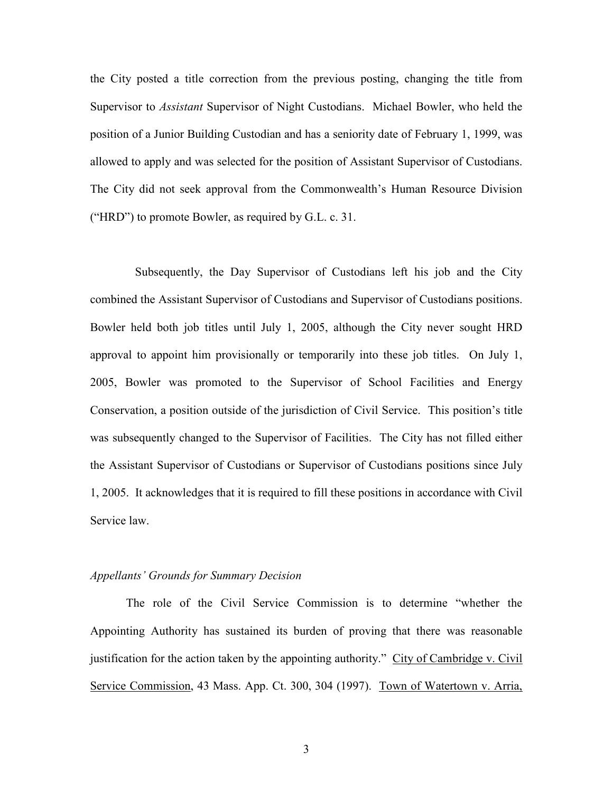the City posted a title correction from the previous posting, changing the title from Supervisor to Assistant Supervisor of Night Custodians. Michael Bowler, who held the position of a Junior Building Custodian and has a seniority date of February 1, 1999, was allowed to apply and was selected for the position of Assistant Supervisor of Custodians. The City did not seek approval from the Commonwealth's Human Resource Division ("HRD") to promote Bowler, as required by G.L. c. 31.

Subsequently, the Day Supervisor of Custodians left his job and the City combined the Assistant Supervisor of Custodians and Supervisor of Custodians positions. Bowler held both job titles until July 1, 2005, although the City never sought HRD approval to appoint him provisionally or temporarily into these job titles. On July 1, 2005, Bowler was promoted to the Supervisor of School Facilities and Energy Conservation, a position outside of the jurisdiction of Civil Service. This position's title was subsequently changed to the Supervisor of Facilities. The City has not filled either the Assistant Supervisor of Custodians or Supervisor of Custodians positions since July 1, 2005. It acknowledges that it is required to fill these positions in accordance with Civil Service law.

#### Appellants' Grounds for Summary Decision

 The role of the Civil Service Commission is to determine "whether the Appointing Authority has sustained its burden of proving that there was reasonable justification for the action taken by the appointing authority." City of Cambridge v. Civil Service Commission, 43 Mass. App. Ct. 300, 304 (1997). Town of Watertown v. Arria,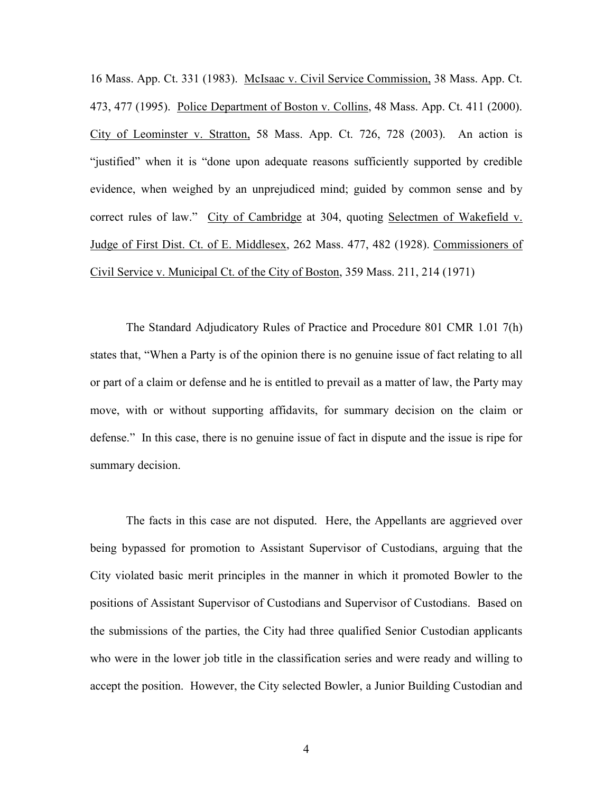16 Mass. App. Ct. 331 (1983). McIsaac v. Civil Service Commission, 38 Mass. App. Ct. 473, 477 (1995). Police Department of Boston v. Collins, 48 Mass. App. Ct. 411 (2000). City of Leominster v. Stratton, 58 Mass. App. Ct. 726, 728 (2003). An action is "justified" when it is "done upon adequate reasons sufficiently supported by credible evidence, when weighed by an unprejudiced mind; guided by common sense and by correct rules of law." City of Cambridge at 304, quoting Selectmen of Wakefield v. Judge of First Dist. Ct. of E. Middlesex, 262 Mass. 477, 482 (1928). Commissioners of Civil Service v. Municipal Ct. of the City of Boston, 359 Mass. 211, 214 (1971)

 The Standard Adjudicatory Rules of Practice and Procedure 801 CMR 1.01 7(h) states that, "When a Party is of the opinion there is no genuine issue of fact relating to all or part of a claim or defense and he is entitled to prevail as a matter of law, the Party may move, with or without supporting affidavits, for summary decision on the claim or defense." In this case, there is no genuine issue of fact in dispute and the issue is ripe for summary decision.

The facts in this case are not disputed. Here, the Appellants are aggrieved over being bypassed for promotion to Assistant Supervisor of Custodians, arguing that the City violated basic merit principles in the manner in which it promoted Bowler to the positions of Assistant Supervisor of Custodians and Supervisor of Custodians. Based on the submissions of the parties, the City had three qualified Senior Custodian applicants who were in the lower job title in the classification series and were ready and willing to accept the position. However, the City selected Bowler, a Junior Building Custodian and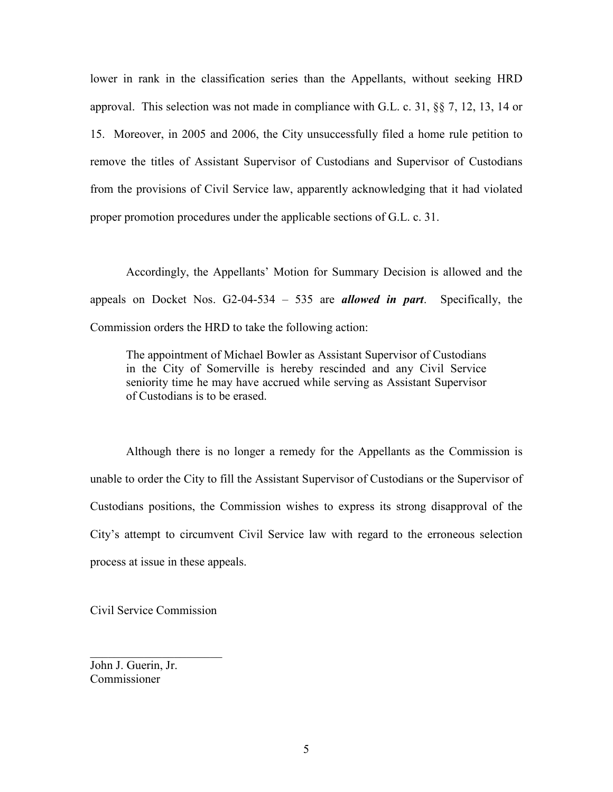lower in rank in the classification series than the Appellants, without seeking HRD approval. This selection was not made in compliance with G.L. c. 31, §§ 7, 12, 13, 14 or 15. Moreover, in 2005 and 2006, the City unsuccessfully filed a home rule petition to remove the titles of Assistant Supervisor of Custodians and Supervisor of Custodians from the provisions of Civil Service law, apparently acknowledging that it had violated proper promotion procedures under the applicable sections of G.L. c. 31.

 Accordingly, the Appellants' Motion for Summary Decision is allowed and the appeals on Docket Nos.  $G2-04-534 - 535$  are *allowed in part*. Specifically, the Commission orders the HRD to take the following action:

The appointment of Michael Bowler as Assistant Supervisor of Custodians in the City of Somerville is hereby rescinded and any Civil Service seniority time he may have accrued while serving as Assistant Supervisor of Custodians is to be erased.

 Although there is no longer a remedy for the Appellants as the Commission is unable to order the City to fill the Assistant Supervisor of Custodians or the Supervisor of Custodians positions, the Commission wishes to express its strong disapproval of the City's attempt to circumvent Civil Service law with regard to the erroneous selection process at issue in these appeals.

Civil Service Commission

 $\overline{\phantom{a}}$  , which is a set of the set of the set of the set of the set of the set of the set of the set of the set of the set of the set of the set of the set of the set of the set of the set of the set of the set of th

John J. Guerin, Jr. Commissioner